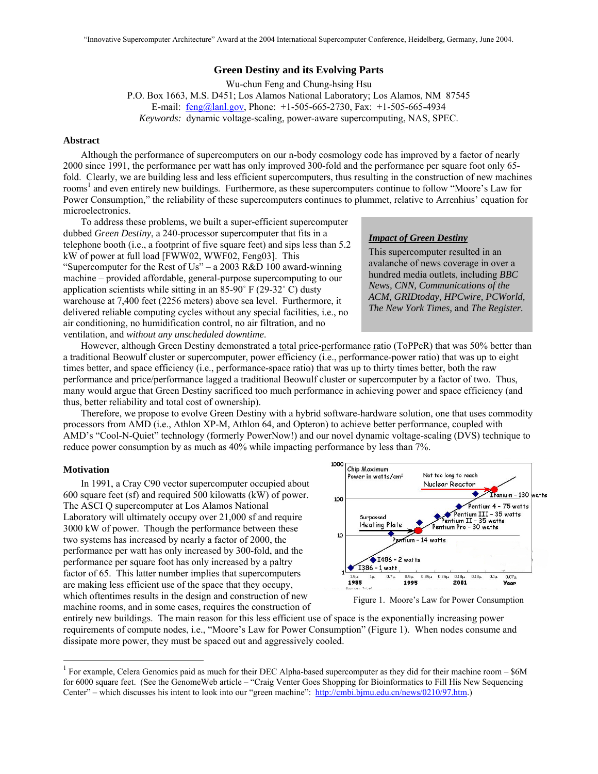# **Green Destiny and its Evolving Parts**

Wu-chun Feng and Chung-hsing Hsu P.O. Box 1663, M.S. D451; Los Alamos National Laboratory; Los Alamos, NM 87545 E-mail:  $feng@lanl.gov$ , Phone: +1-505-665-2730, Fax: +1-505-665-4934 *Keywords:* dynamic voltage-scaling, power-aware supercomputing, NAS, SPEC.

### **Abstract**

Although the performance of supercomputers on our n-body cosmology code has improved by a factor of nearly 2000 since 1991, the performance per watt has only improved 300-fold and the performance per square foot only 65 fold. Clearly, we are building less and less efficient supercomputers, thus resulting in the construction of new machines rooms<sup>1</sup> and even entirely new buildings. Furthermore, as these supercomputers continue to follow "Moore's Law for Power Consumption," the reliability of these supercomputers continues to plummet, relative to Arrenhius' equation for microelectronics.

To address these problems, we built a super-efficient supercomputer dubbed *Green Destiny*, a 240-processor supercomputer that fits in a telephone booth (i.e., a footprint of five square feet) and sips less than 5.2 kW of power at full load [FWW02, WWF02, Feng03]. This "Supercomputer for the Rest of Us" – a 2003 R&D 100 award-winning machine – provided affordable, general-purpose supercomputing to our application scientists while sitting in an 85-90˚ F (29-32˚ C) dusty warehouse at 7,400 feet (2256 meters) above sea level. Furthermore, it delivered reliable computing cycles without any special facilities, i.e., no air conditioning, no humidification control, no air filtration, and no ventilation, and *without any unscheduled downtime*.

### *Impact of Green Destiny*

This supercomputer resulted in an avalanche of news coverage in over a hundred media outlets, including *BBC News, CNN, Communications of the ACM, GRIDtoday, HPCwire, PCWorld, The New York Times,* and *The Register.*

However, although Green Destiny demonstrated a total price-performance ratio (ToPPeR) that was 50% better than a traditional Beowulf cluster or supercomputer, power efficiency (i.e., performance-power ratio) that was up to eight times better, and space efficiency (i.e., performance-space ratio) that was up to thirty times better, both the raw performance and price/performance lagged a traditional Beowulf cluster or supercomputer by a factor of two. Thus, many would argue that Green Destiny sacrificed too much performance in achieving power and space efficiency (and thus, better reliability and total cost of ownership).

Therefore, we propose to evolve Green Destiny with a hybrid software-hardware solution, one that uses commodity processors from AMD (i.e., Athlon XP-M, Athlon 64, and Opteron) to achieve better performance, coupled with AMD's "Cool-N-Quiet" technology (formerly PowerNow!) and our novel dynamic voltage-scaling (DVS) technique to reduce power consumption by as much as 40% while impacting performance by less than 7%.

#### **Motivation**

 $\overline{a}$ 

In 1991, a Cray C90 vector supercomputer occupied about 600 square feet (sf) and required 500 kilowatts (kW) of power. The ASCI Q supercomputer at Los Alamos National Laboratory will ultimately occupy over 21,000 sf and require 3000 kW of power. Though the performance between these two systems has increased by nearly a factor of 2000, the performance per watt has only increased by 300-fold, and the performance per square foot has only increased by a paltry factor of 65. This latter number implies that supercomputers are making less efficient use of the space that they occupy, which oftentimes results in the design and construction of new machine rooms, and in some cases, requires the construction of



Figure 1. Moore's Law for Power Consumption

entirely new buildings. The main reason for this less efficient use of space is the exponentially increasing power requirements of compute nodes, i.e., "Moore's Law for Power Consumption" (Figure 1). When nodes consume and dissipate more power, they must be spaced out and aggressively cooled.

<sup>&</sup>lt;sup>1</sup> For example, Celera Genomics paid as much for their DEC Alpha-based supercomputer as they did for their machine room – \$6M for 6000 square feet. (See the GenomeWeb article – "Craig Venter Goes Shopping for Bioinformatics to Fill His New Sequencing Center" – which discusses his intent to look into our "green machine": http://cmbi.bjmu.edu.cn/news/0210/97.htm.)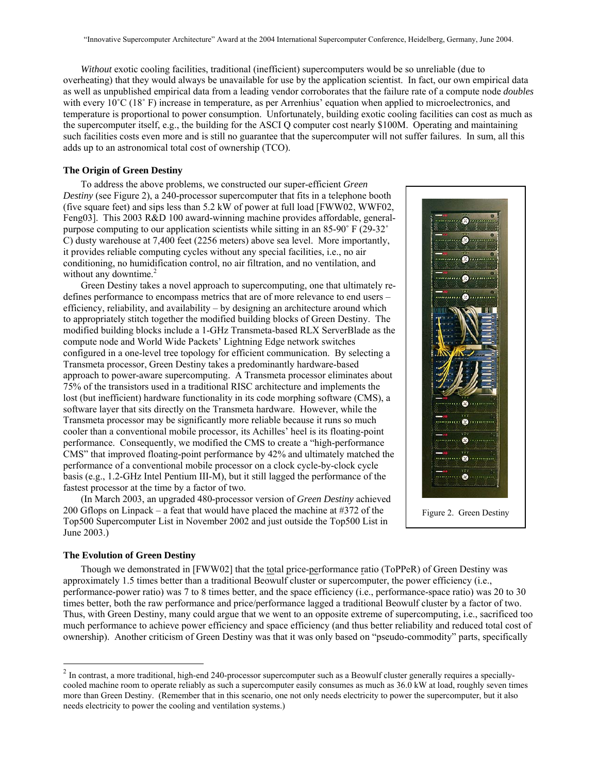*Without* exotic cooling facilities, traditional (inefficient) supercomputers would be so unreliable (due to overheating) that they would always be unavailable for use by the application scientist. In fact, our own empirical data as well as unpublished empirical data from a leading vendor corroborates that the failure rate of a compute node *doubles* with every 10<sup>°</sup>C (18<sup>°</sup> F) increase in temperature, as per Arrenhius' equation when applied to microelectronics, and temperature is proportional to power consumption. Unfortunately, building exotic cooling facilities can cost as much as the supercomputer itself, e.g., the building for the ASCI Q computer cost nearly \$100M. Operating and maintaining such facilities costs even more and is still no guarantee that the supercomputer will not suffer failures. In sum, all this adds up to an astronomical total cost of ownership (TCO).

### **The Origin of Green Destiny**

To address the above problems, we constructed our super-efficient *Green Destiny* (see Figure 2), a 240-processor supercomputer that fits in a telephone booth (five square feet) and sips less than 5.2 kW of power at full load [FWW02, WWF02, Feng03]. This 2003 R&D 100 award-winning machine provides affordable, generalpurpose computing to our application scientists while sitting in an 85-90˚ F (29-32˚ C) dusty warehouse at 7,400 feet (2256 meters) above sea level. More importantly, it provides reliable computing cycles without any special facilities, i.e., no air conditioning, no humidification control, no air filtration, and no ventilation, and without any downtime.<sup>2</sup>

Green Destiny takes a novel approach to supercomputing, one that ultimately redefines performance to encompass metrics that are of more relevance to end users – efficiency, reliability, and availability – by designing an architecture around which to appropriately stitch together the modified building blocks of Green Destiny. The modified building blocks include a 1-GHz Transmeta-based RLX ServerBlade as the compute node and World Wide Packets' Lightning Edge network switches configured in a one-level tree topology for efficient communication. By selecting a Transmeta processor, Green Destiny takes a predominantly hardware-based approach to power-aware supercomputing. A Transmeta processor eliminates about 75% of the transistors used in a traditional RISC architecture and implements the lost (but inefficient) hardware functionality in its code morphing software (CMS), a software layer that sits directly on the Transmeta hardware. However, while the Transmeta processor may be significantly more reliable because it runs so much cooler than a conventional mobile processor, its Achilles' heel is its floating-point performance. Consequently, we modified the CMS to create a "high-performance CMS" that improved floating-point performance by 42% and ultimately matched the performance of a conventional mobile processor on a clock cycle-by-clock cycle basis (e.g., 1.2-GHz Intel Pentium III-M), but it still lagged the performance of the fastest processor at the time by a factor of two.

(In March 2003, an upgraded 480-processor version of *Green Destiny* achieved 200 Gflops on Linpack – a feat that would have placed the machine at #372 of the Top500 Supercomputer List in November 2002 and just outside the Top500 List in June 2003.)



Figure 2. Green Destiny

#### **The Evolution of Green Destiny**

 $\overline{a}$ 

Though we demonstrated in [FWW02] that the total price-performance ratio (ToPPeR) of Green Destiny was approximately 1.5 times better than a traditional Beowulf cluster or supercomputer, the power efficiency (i.e., performance-power ratio) was 7 to 8 times better, and the space efficiency (i.e., performance-space ratio) was 20 to 30 times better, both the raw performance and price/performance lagged a traditional Beowulf cluster by a factor of two. Thus, with Green Destiny, many could argue that we went to an opposite extreme of supercomputing, i.e., sacrificed too much performance to achieve power efficiency and space efficiency (and thus better reliability and reduced total cost of ownership). Another criticism of Green Destiny was that it was only based on "pseudo-commodity" parts, specifically

 $2$  In contrast, a more traditional, high-end 240-processor supercomputer such as a Beowulf cluster generally requires a speciallycooled machine room to operate reliably as such a supercomputer easily consumes as much as 36.0 kW at load, roughly seven times more than Green Destiny. (Remember that in this scenario, one not only needs electricity to power the supercomputer, but it also needs electricity to power the cooling and ventilation systems.)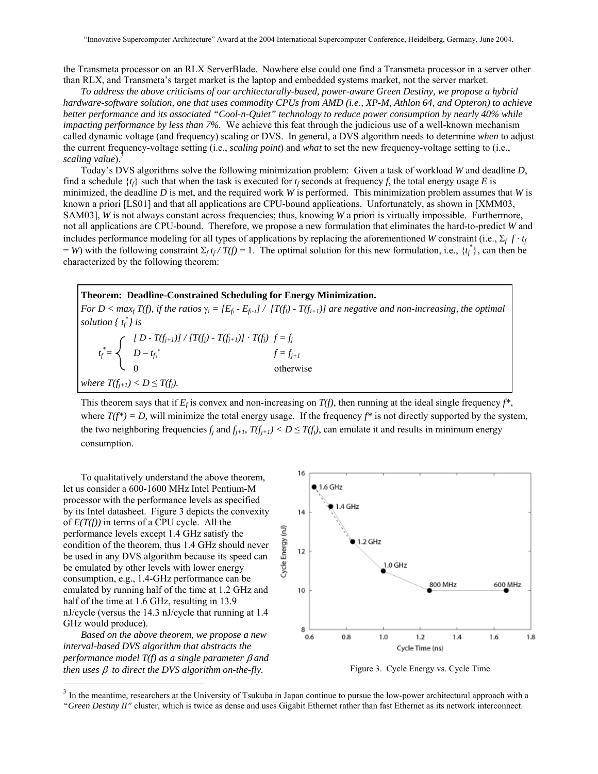the Transmeta processor on an RLX ServerBlade. Nowhere else could one find a Transmeta processor in a server other than RLX, and Transmeta's target market is the laptop and embedded systems market, not the server market.

*To address the above criticisms of our architecturally-based, power-aware Green Destiny, we propose a hybrid hardware-software solution, one that uses commodity CPUs from AMD (i.e., XP-M, Athlon 64, and Opteron) to achieve better performance and its associated "Cool-n-Quiet" technology to reduce power consumption by nearly 40% while impacting performance by less than 7%.* We achieve this feat through the judicious use of a well-known mechanism called dynamic voltage (and frequency) scaling or DVS. In general, a DVS algorithm needs to determine *when* to adjust the current frequency-voltage setting (i.e., *scaling point*) and *what* to set the new frequency-voltage setting to (i.e., *scaling value*).

Today's DVS algorithms solve the following minimization problem: Given a task of workload *W* and deadline *D*, find a schedule  $\{t_f\}$  such that when the task is executed for  $t_f$  seconds at frequency f, the total energy usage E is minimized, the deadline *D* is met, and the required work *W* is performed. This minimization problem assumes that *W* is known a priori [LS01] and that all applications are CPU-bound applications. Unfortunately, as shown in [XMM03, SAM03], *W* is not always constant across frequencies; thus, knowing *W* a priori is virtually impossible. Furthermore, not all applications are CPU-bound. Therefore, we propose a new formulation that eliminates the hard-to-predict *W* and includes performance modeling for all types of applications by replacing the aforementioned *W* constraint (i.e.,  $\Sigma_f f \cdot t_f$  $=$  *W*) with the following constraint  $\Sigma_f t_f / T(f) = 1$ . The optimal solution for this new formulation, i.e.,  $\{t_f^*\}$ , can then be characterized by the following theorem:

# **Theorem: Deadline-Constrained Scheduling for Energy Minimization.**

*For D < max<sub>f</sub> T(f), if the ratios*  $\gamma_i = [E_{fi} - E_{fi}]/[T(f_i) - T(f_{i+1})]$  *are negative and non-increasing, the optimal solution*  $\{ t_f^* \}$  *is* 

 $\int$  *[ D - T(f<sub>j+1</sub>)]* / [*T(f<sub>j</sub>)* - *T(f<sub>j+1</sub>)]*  $\cdot$  *T(f<sub>j</sub>)*  $f = f_j$  $t_f^* = \begin{cases} 0 - t_{f_j}^* & f = f_{j+1} \end{cases}$  $\sim$  0 otherwise *where*  $T(f_{i+1}) < D \leq T(f_i)$ .

This theorem says that if  $E_f$  is convex and non-increasing on  $T(f)$ , then running at the ideal single frequency  $f^*$ , where  $T(f^*) = D$ , will minimize the total energy usage. If the frequency  $f^*$  is not directly supported by the system, the two neighboring frequencies  $f_j$  and  $f_{j+1}$ ,  $T(f_{j+1}) < D \leq T(f_j)$ , can emulate it and results in minimum energy consumption.

To qualitatively understand the above theorem, let us consider a 600-1600 MHz Intel Pentium-M processor with the performance levels as specified by its Intel datasheet. Figure 3 depicts the convexity of *E(T(f))* in terms of a CPU cycle. All the performance levels except 1.4 GHz satisfy the condition of the theorem, thus 1.4 GHz should never be used in any DVS algorithm because its speed can be emulated by other levels with lower energy consumption, e.g., 1.4-GHz performance can be emulated by running half of the time at 1.2 GHz and half of the time at 1.6 GHz, resulting in 13.9 nJ/cycle (versus the 14.3 nJ/cycle that running at 1.4 GHz would produce).

*Based on the above theorem, we propose a new interval-based DVS algorithm that abstracts the performance model T(f) as a single parameter* β *and then uses* β *to direct the DVS algorithm on-the-fly.* 

 $\overline{a}$ 



Figure 3. Cycle Energy vs. Cycle Time

<sup>&</sup>lt;sup>3</sup> In the meantime, researchers at the University of Tsukuba in Japan continue to pursue the low-power architectural approach with a *"Green Destiny II"* cluster, which is twice as dense and uses Gigabit Ethernet rather than fast Ethernet as its network interconnect.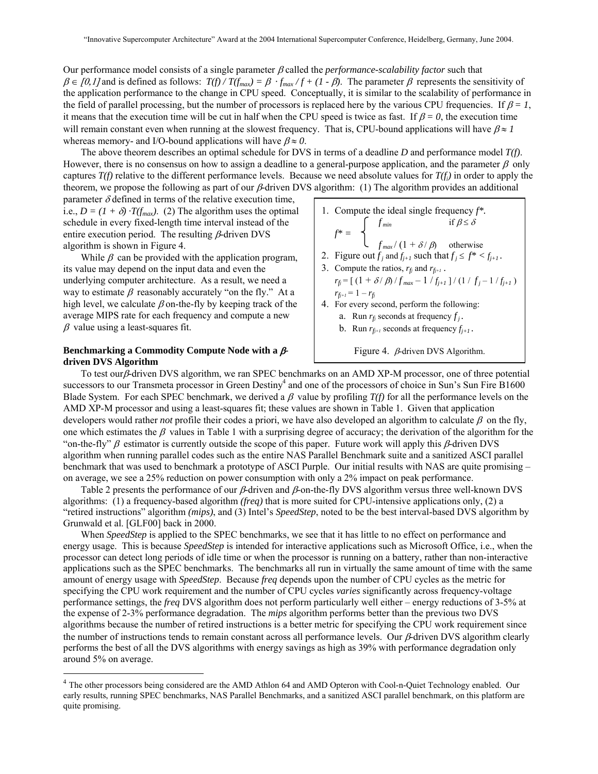Our performance model consists of a single parameter β called the *performance-scalability factor* such that  $\beta \in [0,1]$  and is defined as follows:  $T(f)/T(f_{max}) = \beta \cdot f_{max}/f + (1 - \beta)$ . The parameter  $\beta$  represents the sensitivity of the application performance to the change in CPU speed. Conceptually, it is similar to the scalability of performance in the field of parallel processing, but the number of processors is replaced here by the various CPU frequencies. If  $\beta = 1$ , it means that the execution time will be cut in half when the CPU speed is twice as fast. If  $\beta = 0$ , the execution time will remain constant even when running at the slowest frequency. That is, CPU-bound applications will have  $\beta \approx 1$ whereas memory- and I/O-bound applications will have  $\beta \approx 0$ .

The above theorem describes an optimal schedule for DVS in terms of a deadline *D* and performance model *T(f)*. However, there is no consensus on how to assign a deadline to a general-purpose application, and the parameter  $\beta$  only captures  $T(f)$  relative to the different performance levels. Because we need absolute values for  $T(f_i)$  in order to apply the theorem, we propose the following as part of our β*-*driven DVS algorithm: (1) The algorithm provides an additional

parameter  $\delta$  defined in terms of the relative execution time, i.e.,  $D = (1 + \delta) \cdot T(f_{max})$ . (2) The algorithm uses the optimal schedule in every fixed-length time interval instead of the entire execution period. The resulting β*-*driven DVS algorithm is shown in Figure 4.

While  $\beta$  can be provided with the application program, its value may depend on the input data and even the underlying computer architecture. As a result, we need a way to estimate  $\beta$  reasonably accurately "on the fly." At a high level, we calculate  $\beta$  on-the-fly by keeping track of the average MIPS rate for each frequency and compute a new  $\beta$  value using a least-squares fit.

# **Benchmarking a Commodity Compute Node with a** β**driven DVS Algorithm**

 $\overline{a}$ 

\n- 1. Compute the ideal single frequency 
$$
f^*
$$
.  $f^* = \n \begin{cases} \n f_{min} & \text{if } \beta \leq \delta \\ \n f_{max} / \left( 1 + \delta / \beta \right) & \text{otherwise} \n \end{cases}$ \n
\n- 2. Figure out  $f_j$  and  $f_{j+1}$  such that  $f_j \leq f^* < f_{j+1}$ .
\n- 3. Compute the ratios,  $r_{fj}$  and  $r_{f_{j+1}}$ .
\n- $r_{fj} = \left[ \left( 1 + \delta / \beta \right) / f_{max} - \frac{1}{f_{j+1}} \right] / \left( \frac{1}{f_j} - \frac{1}{f_{j+1}} \right)$ .
\n- $r_{f_{j+1}} = 1 - r_{f_j}$
\n- 4. For every second, perform the following:\n
	\n- a. Run  $r_{fj}$  seconds at frequency  $f_j$ .
	\n- b. Run  $r_{f_{j+1}}$  seconds at frequency  $f_{j+1}$ .
	\n\n
\n

Figure 4. β*-*driven DVS Algorithm.

To test ourβ*-*driven DVS algorithm, we ran SPEC benchmarks on an AMD XP-M processor, one of three potential successors to our Transmeta processor in Green Destiny<sup>4</sup> and one of the processors of choice in Sun's Sun Fire B1600 Blade System. For each SPEC benchmark, we derived a  $\beta$  value by profiling  $T(f)$  for all the performance levels on the AMD XP-M processor and using a least-squares fit; these values are shown in Table 1. Given that application developers would rather *not* profile their codes a priori, we have also developed an algorithm to calculate  $\beta$  on the fly, one which estimates the  $\beta$  values in Table 1 with a surprising degree of accuracy; the derivation of the algorithm for the "on-the-fly" β estimator is currently outside the scope of this paper. Future work will apply this β*-*driven DVS algorithm when running parallel codes such as the entire NAS Parallel Benchmark suite and a sanitized ASCI parallel benchmark that was used to benchmark a prototype of ASCI Purple. Our initial results with NAS are quite promising – on average, we see a 25% reduction on power consumption with only a 2% impact on peak performance.

Table 2 presents the performance of our β*-*driven and β*-*on-the-fly DVS algorithm versus three well-known DVS algorithms: (1) a frequency-based algorithm *(freq)* that is more suited for CPU-intensive applications only, (2) a "retired instructions" algorithm *(mips)*, and (3) Intel's *SpeedStep*, noted to be the best interval-based DVS algorithm by Grunwald et al. [GLF00] back in 2000.

When *SpeedStep* is applied to the SPEC benchmarks, we see that it has little to no effect on performance and energy usage. This is because *SpeedStep* is intended for interactive applications such as Microsoft Office, i.e., when the processor can detect long periods of idle time or when the processor is running on a battery, rather than non-interactive applications such as the SPEC benchmarks. The benchmarks all run in virtually the same amount of time with the same amount of energy usage with *SpeedStep*. Because *freq* depends upon the number of CPU cycles as the metric for specifying the CPU work requirement and the number of CPU cycles *varies* significantly across frequency-voltage performance settings, the *freq* DVS algorithm does not perform particularly well either – energy reductions of 3-5% at the expense of 2-3% performance degradation. The *mips* algorithm performs better than the previous two DVS algorithms because the number of retired instructions is a better metric for specifying the CPU work requirement since the number of instructions tends to remain constant across all performance levels. Our β*-*driven DVS algorithm clearly performs the best of all the DVS algorithms with energy savings as high as 39% with performance degradation only around 5% on average.

<sup>&</sup>lt;sup>4</sup> The other processors being considered are the AMD Athlon 64 and AMD Opteron with Cool-n-Quiet Technology enabled. Our early results, running SPEC benchmarks, NAS Parallel Benchmarks, and a sanitized ASCI parallel benchmark, on this platform are quite promising.